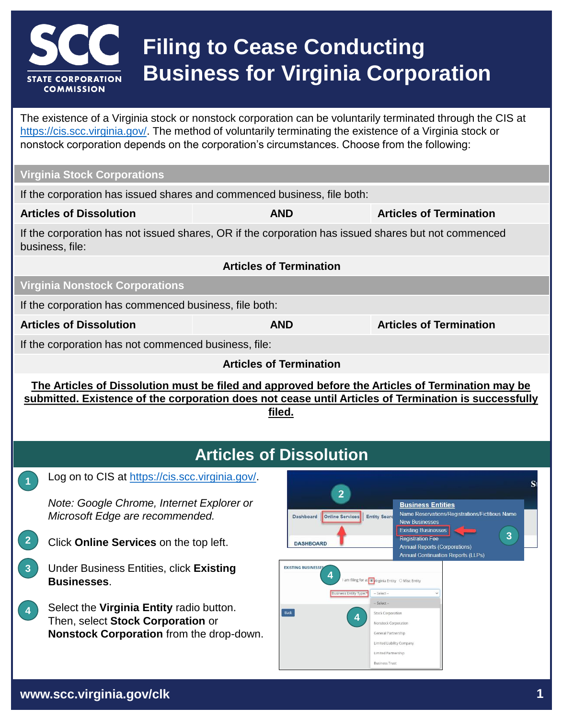

# **Filing to Cease Conducting Business for Virginia Corporation**

The existence of a Virginia stock or nonstock corporation can be voluntarily terminated through the CIS at [https://cis.scc.virginia.gov/.](https://cis.scc.virginia.gov/) The method of voluntarily terminating the existence of a Virginia stock or nonstock corporation depends on the corporation's circumstances. Choose from the following:

#### **Virginia Stock Corporations**

If the corporation has issued shares and commenced business, file both:

**Articles of Dissolution AND Articles of Termination**

If the corporation has not issued shares, OR if the corporation has issued shares but not commenced business, file:

#### **Virginia Nonstock Corporations**

If the corporation has commenced business, file both:

**1**

**Articles of Termination**

**Articles of Dissolution AND Articles of Termination**

If the corporation has not commenced business, file:

**Articles of Termination**

**The Articles of Dissolution must be filed and approved before the Articles of Termination may be submitted. Existence of the corporation does not cease until Articles of Termination is successfully filed.**

### **Articles of Dissolution**

Log on to CIS at<https://cis.scc.virginia.gov/>.

*Note: Google Chrome, Internet Explorer or Microsoft Edge are recommended.*

- **2** Click **Online Services** on the top left.
- **3** Under Business Entities, click **Existing Businesses**.
- Select the **Virginia Entity** radio button. Then, select **Stock Corporation** or **Nonstock Corporation** from the drop-down. **4**

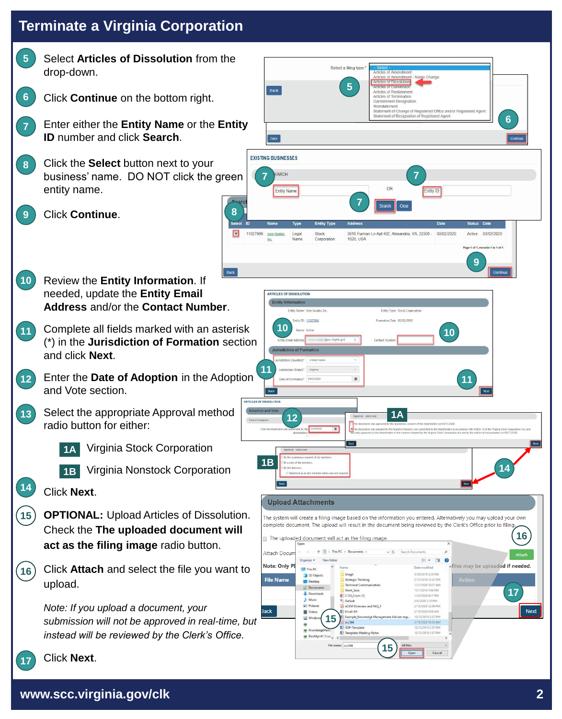**5 6 7** Select **Articles of Dissolution** from the drop-down. Click **Continue** on the bottom right. Enter either the **Entity Name** or the **Entity ID** number and click **Search**. Click the **Select** button next to your business' name. DO NOT click the green entity name. **8**

**8**

 $\boxed{\circ}$ 

- Click **Continue**. **9**
- **10** Review the **Entity Information**. If needed, update the **Entity Email Address** and/or the **Contact Number**.
- **11** Complete all fields marked with an asterisk (\*) in the **Jurisdiction of Formation** section and click **Next**.
- **12** Enter the **Date of Adoption** in the Adoption and Vote section.
- **13** Select the appropriate Approval method radio button for either:
	- Virginia Stock Corporation **1A**
		-
	- Virginia Nonstock Corporation **1B**
	- Click **Next**.

**14**

**17**

- **OPTIONAL:** Upload Articles of Dissolution. Check the **The uploaded document will act as the filing image** radio button. **15**
- Click **Attach** and select the file you want to upload. **16**
	- *Note: If you upload a document, your submission will not be approved in real-time, but instead will be reviewed by the Clerk's Office.*



#### Click **Next**.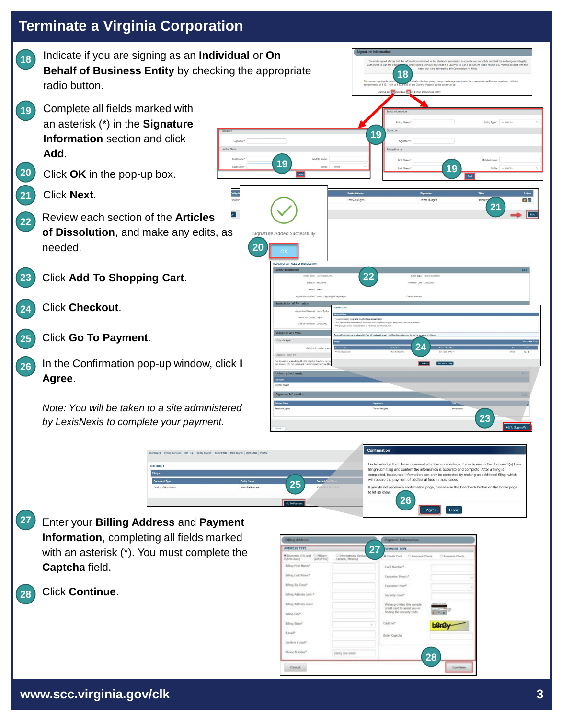

**Information**, completing all fields marked with an asterisk (\*). You must complete the **Captcha** field.

Click **Continue**. **28**

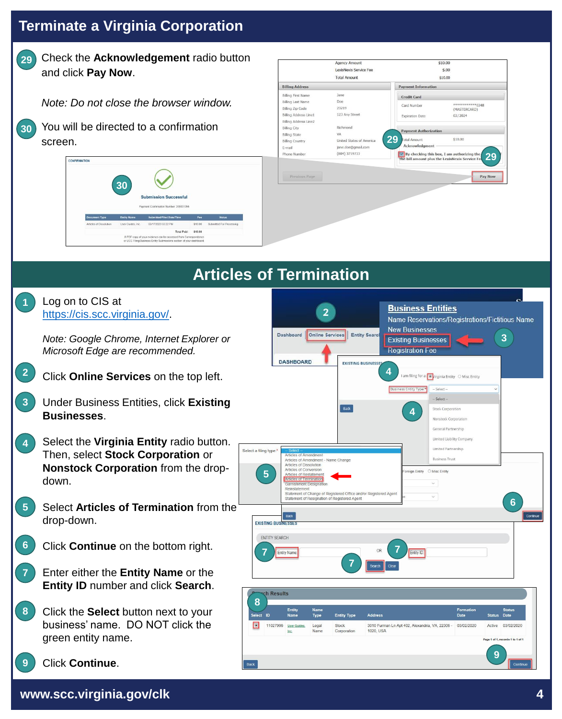

*Note: Do not close the browser window.*

| You will be directed to a confirmation |
|----------------------------------------|
| screen.                                |

**30**





## **Articles of Termination**

|   | Log on to CIS at<br>https://cis.scc.virginia.gov/.                                                                            | <b>Business Entities</b><br>Name Reservations/Registrations/Fictitious Name                                                                                                                                                                                                                                                                                                                  |                                                                         |
|---|-------------------------------------------------------------------------------------------------------------------------------|----------------------------------------------------------------------------------------------------------------------------------------------------------------------------------------------------------------------------------------------------------------------------------------------------------------------------------------------------------------------------------------------|-------------------------------------------------------------------------|
|   | Note: Google Chrome, Internet Explorer or<br>Microsoft Edge are recommended.                                                  | <b>New Businesses</b><br><b>Online Services</b><br><b>Entity Search</b><br>Dashboard<br><b>Existing Businesses</b><br><b>Registration Fee</b><br><b>DASHBOARD</b><br><b>EXISTING BUSINESSE</b>                                                                                                                                                                                               |                                                                         |
|   | Click Online Services on the top left.                                                                                        | I am filing for a: ( virginia Entity ○ Misc Entity<br>Select -<br>siness Entity Type                                                                                                                                                                                                                                                                                                         |                                                                         |
|   | Under Business Entities, click Existing<br><b>Businesses.</b>                                                                 | - Select -<br>Back<br>Stock Corporation<br>Nonstock Corporation<br>General Partnership                                                                                                                                                                                                                                                                                                       |                                                                         |
|   | Select the Virginia Entity radio button.<br>Then, select Stock Corporation or<br>Nonstock Corporation from the drop-<br>down. | Limited Liability Compan<br>Limited Partnership<br>Select a filing type: <sup>*</sup><br>Articles of Amendmen<br><b>Business Trust</b><br>Articles of Amendment - Name Change<br>Articles of Dissolution<br>Articles of Conversion<br>O Misc Entity<br>oreign Entity<br><b>urticles of Restateme</b><br>Irticles of Terr<br>Statement of Change of Registered Office and/or Registered Agent |                                                                         |
|   | Select Articles of Termination from the<br>drop-down.                                                                         | $\odot$<br>Statement of Resignation of Registered Agent<br>Back<br><b>EXISTING BUSINESSES</b>                                                                                                                                                                                                                                                                                                |                                                                         |
|   | Click Continue on the bottom right.                                                                                           | <b>ENTITY SEARCH</b><br>Entity ID<br><b>Entity Name</b>                                                                                                                                                                                                                                                                                                                                      |                                                                         |
|   | Enter either the Entity Name or the<br>Entity ID number and click Search.                                                     | ch Results                                                                                                                                                                                                                                                                                                                                                                                   |                                                                         |
| 8 | Click the Select button next to your<br>business' name. DO NOT click the<br>green entity name.                                | 8<br>Entity<br>Name<br>Formation<br><b>Type</b><br><b>Entity Type</b><br><b>Address</b><br>Date<br><b>Status</b><br>11027996<br>3010 Furman Ln Apt 402, Alexandria, VA, 22306 -<br>03/02/2020<br>Legal<br>Stock<br>Active<br>1020, USA<br>Name<br>Corporation                                                                                                                                | <b>Status</b><br>Date<br>03/02/2020<br>Page 1 of 1, records 1 to 1 of 1 |
|   | <b>Click Continue.</b>                                                                                                        |                                                                                                                                                                                                                                                                                                                                                                                              |                                                                         |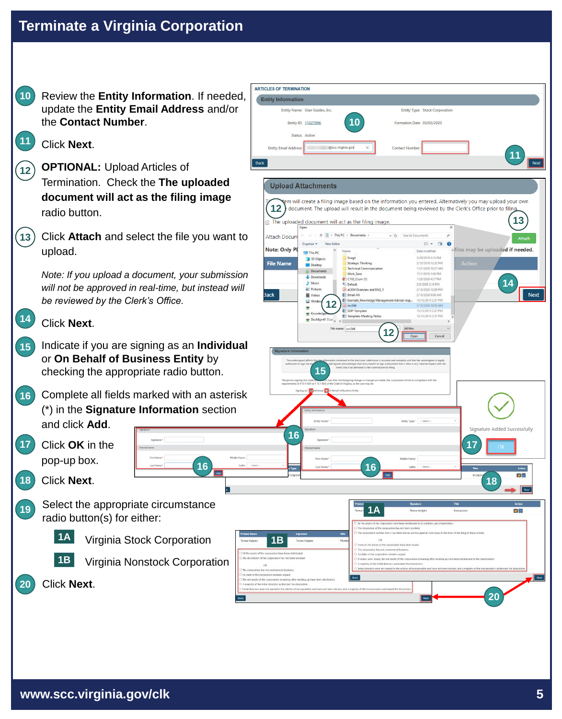